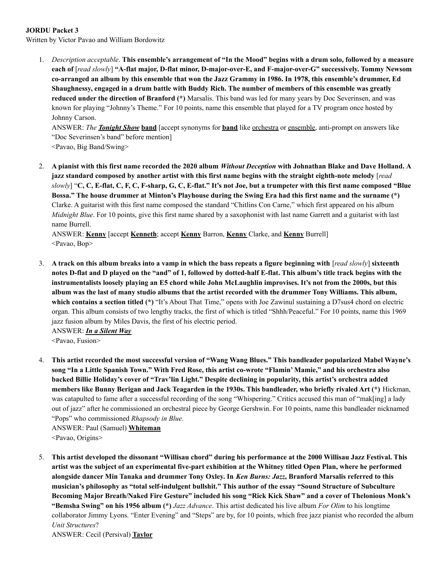## **JORDU Packet 3**

Written by Victor Pavao and William Bordowitz

1. Description acceptable. This ensemble's arrangement of "In the Mood" begins with a drum solo, followed by a measure **each of** [*read slowly*] **"A-flat major, D-flat minor, D-major-over-E, and F-major-over-G" successively. Tommy Newsom** co-arranged an album by this ensemble that won the Jazz Grammy in 1986. In 1978, this ensemble's drummer, Ed Shaughnessy, engaged in a drum battle with Buddy Rich. The number of members of this ensemble was greatly **reduced under the direction of Branford (\*)** Marsalis. This band was led for many years by Doc Severinsen, and was known for playing "Johnny's Theme." For 10 points, name this ensemble that played for a TV program once hosted by Johnny Carson.

ANSWER: *The Tonight Show* **band** [accept synonyms for **band** like orchestra or ensemble, anti-prompt on answers like "Doc Severinsen's band" before mention]

<Pavao, Big Band/Swing>

2. A pianist with this first name recorded the 2020 album Without Deception with Johnathan Blake and Dave Holland. A jazz standard composed by another artist with this first name begins with the straight eighth-note melody [read slowly] "C, C, E-flat, C, F, C, F-sharp, G, C, E-flat." It's not Joe, but a trumpeter with this first name composed "Blue Bossa." The house drummer at Minton's Playhouse during the Swing Era had this first name and the surname (\*) Clarke. A guitarist with this first name composed the standard "Chitlins Con Carne," which first appeared on his album *Midnight Blue*. For 10 points, give this first name shared by a saxophonist with last name Garrett and a guitarist with last name Burrell.

ANSWER: **Kenny** [accept **Kenneth**; accept **Kenny** Barron, **Kenny** Clarke, and **Kenny** Burrell] <Pavao, Bop>

3. A track on this album breaks into a vamp in which the bass repeats a figure beginning with [read slowly] sixteenth notes D-flat and D played on the "and" of 1, followed by dotted-half E-flat. This album's title track begins with the instrumentalists loosely playing an E5 chord while John McLaughlin improvises. It's not from the 2000s, but this album was the last of many studio albums that the artist recorded with the drummer Tony Williams. This album, **which contains a section titled (\*)** "It's About That Time," opens with Joe Zawinul sustaining a D7sus4 chord on electric organ. This album consists of two lengthy tracks, the first of which is titled "Shhh/Peaceful." For 10 points, name this 1969 jazz fusion album by Miles Davis, the first of his electric period.

ANSWER: *In a Silent Way* <Pavao, Fusion>

4. This artist recorded the most successful version of "Wang Wang Blues." This bandleader popularized Mabel Wayne's song "In a Little Spanish Town." With Fred Rose, this artist co-wrote "Flamin' Mamie," and his orchestra also **backed Billie Holiday's cover of "Trav'lin Light." Despite declining in popularity, this artist's orchestra added** members like Bunny Berigan and Jack Teagarden in the 1930s. This bandleader, who briefly rivaled Art (\*) Hickman, was catapulted to fame after a successful recording of the song "Whispering." Critics accused this man of "mak[ing] a lady out of jazz" after he commissioned an orchestral piece by George Gershwin. For 10 points, name this bandleader nicknamed "Pops" who commissioned *Rhapsody in Blue*.

ANSWER: Paul (Samuel) **Whiteman** <Pavao, Origins>

5. This artist developed the dissonant "Willisau chord" during his performance at the 2000 Willisau Jazz Festival. This artist was the subject of an experimental five-part exhibition at the Whitney titled Open Plan, where he performed alongside dancer Min Tanaka and drummer Tony Oxley. In Ken Burns: Jazz, Branford Marsalis referred to this **musician's philosophy as "total self-indulgent bullshit." This author of the essay "Sound Structure of Subculture** Becoming Major Breath/Naked Fire Gesture" included his song "Rick Kick Shaw" and a cover of Thelonious Monk's **"Bemsha Swing" on his 1956 album (\*)** *Jazz Advance*. This artist dedicated his live album *For Olim* to his longtime collaborator Jimmy Lyons. "Enter Evening" and "Steps" are by, for 10 points, which free jazz pianist who recorded the album *Unit Structures*?

ANSWER: Cecil (Persival) **Taylor**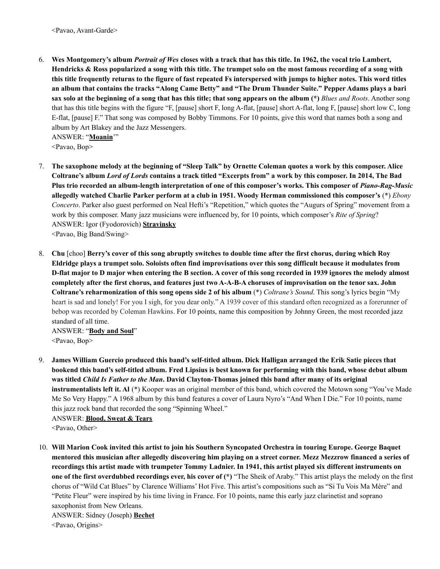6. Wes Montgomery's album Portrait of Wes closes with a track that has this title. In 1962, the vocal trio Lambert, Hendricks & Ross popularized a song with this title. The trumpet solo on the most famous recording of a song with this title frequently returns to the figure of fast repeated Fs interspersed with jumps to higher notes. This word titles an album that contains the tracks "Along Came Betty" and "The Drum Thunder Suite." Pepper Adams plays a bari sax solo at the beginning of a song that has this title; that song appears on the album (\*) Blues and Roots. Another song that has this title begins with the figure "F, [pause] short F, long A-flat, [pause] short A-flat, long F, [pause] short low C, long E-flat, [pause] F." That song was composed by Bobby Timmons. For 10 points, give this word that names both a song and album by Art Blakey and the Jazz Messengers. ANSWER: "**Moanin**'"

<Pavao, Bop>

- 7. The saxophone melody at the beginning of "Sleep Talk" by Ornette Coleman quotes a work by this composer. Alice Coltrane's album Lord of Lords contains a track titled "Excerpts from" a work by this composer. In 2014, The Bad Plus trio recorded an album-length interpretation of one of this composer's works. This composer of Piano-Rag-Music **allegedly watched Charlie Parker perform at a club in 1951. Woody Herman commissioned this composer's** (\*) *Ebony Concerto*. Parker also guest performed on Neal Hefti's "Repetition," which quotes the "Augurs of Spring" movement from a work by this composer. Many jazz musicians were influenced by, for 10 points, which composer's *Rite of Spring*? ANSWER: Igor (Fyodorovich) **Stravinsky** <Pavao, Big Band/Swing>
- 8. Chu [choo] Berry's cover of this song abruptly switches to double time after the first chorus, during which Roy Eldridge plays a trumpet solo. Soloists often find improvisations over this song difficult because it modulates from D-flat major to D major when entering the B section. A cover of this song recorded in 1939 ignores the melody almost completely after the first chorus, and features just two A-A-B-A choruses of improvisation on the tenor sax. John **Coltrane's reharmonization of this song opens side 2 of his album** (\*) *Coltrane's Sound*. This song's lyrics begin "My heart is sad and lonely! For you I sigh, for you dear only." A 1939 cover of this standard often recognized as a forerunner of bebop was recorded by Coleman Hawkins. For 10 points, name this composition by Johnny Green, the most recorded jazz standard of all time.

ANSWER: "**Body and Soul**" <Pavao, Bop>

9. James William Guercio produced this band's self-titled album. Dick Halligan arranged the Erik Satie pieces that bookend this band's self-titled album. Fred Lipsius is best known for performing with this band, whose debut album was titled Child Is Father to the Man. David Clayton-Thomas joined this band after many of its original **instrumentalists left it. Al** (\*) Kooper was an original member of this band, which covered the Motown song "You've Made Me So Very Happy." A 1968 album by this band features a cover of Laura Nyro's "And When I Die." For 10 points, name this jazz rock band that recorded the song "Spinning Wheel."

ANSWER: **Blood, Sweat & Tears** <Pavao, Other>

10. Will Marion Cook invited this artist to join his Southern Syncopated Orchestra in touring Europe. George Baquet mentored this musician after allegedly discovering him playing on a street corner. Mezz Mezzrow financed a series of recordings this artist made with trumpeter Tommy Ladnier. In 1941, this artist played six different instruments on **one of the first overdubbed recordings ever, his cover of (\*)** "The Sheik of Araby." This artist plays the melody on the first chorus of "Wild Cat Blues" by Clarence Williams' Hot Five. This artist's compositions such as "Si Tu Vois Ma Mère" and "Petite Fleur" were inspired by his time living in France. For 10 points, name this early jazz clarinetist and soprano saxophonist from New Orleans.

ANSWER: Sidney (Joseph) **Bechet** <Pavao, Origins>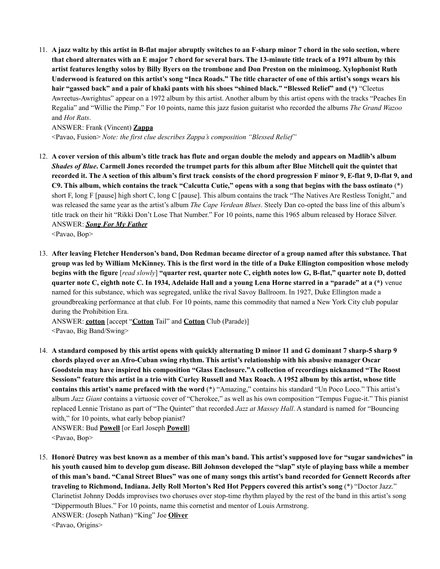11. A jazz waltz by this artist in B-flat major abruptly switches to an F-sharp minor 7 chord in the solo section, where that chord alternates with an E major 7 chord for several bars. The 13-minute title track of a 1971 album by this artist features lengthy solos by Billy Byers on the trombone and Don Preston on the minimoog. Xylophonist Ruth Underwood is featured on this artist's song "Inca Roads." The title character of one of this artist's songs wears his hair "gassed back" and a pair of khaki pants with his shoes "shined black." "Blessed Relief" and (\*) "Cleetus Awreetus-Awrightus" appear on a 1972 album by this artist. Another album by this artist opens with the tracks "Peaches En Regalia" and "Willie the Pimp." For 10 points, name this jazz fusion guitarist who recorded the albums *The Grand Wazoo* and *Hot Rats*.

## ANSWER: Frank (Vincent) **Zappa**

<Pavao, Fusion> *Note: the first clue describes Zappa's composition "Blessed Relief"*

12. A cover version of this album's title track has flute and organ double the melody and appears on Madlib's album Shades of Blue. Carmell Jones recorded the trumpet parts for this album after Blue Mitchell quit the quintet that recorded it. The A section of this album's first track consists of the chord progression F minor 9, E-flat 9, D-flat 9, and C9. This album, which contains the track "Calcutta Cutie," opens with a song that begins with the bass ostinato (\*) short F, long F [pause] high short C, long C [pause]. This album contains the track "The Natives Are Restless Tonight," and was released the same year as the artist's album *The Cape Verdean Blues*. Steely Dan co-opted the bass line of this album's title track on their hit "Rikki Don't Lose That Number." For 10 points, name this 1965 album released by Horace Silver. ANSWER: *Song For My Father*

<Pavao, Bop>

13. After leaving Fletcher Henderson's band, Don Redman became director of a group named after this substance. That group was led by William McKinney. This is the first word in the title of a Duke Ellington composition whose melody begins with the figure [read slowly] "quarter rest, quarter note C, eighth notes low G, B-flat," quarter note D, dotted quarter note C, eighth note C. In 1934, Adelaide Hall and a young Lena Horne starred in a "parade" at a (\*) venue named for this substance, which was segregated, unlike the rival Savoy Ballroom. In 1927, Duke Ellington made a groundbreaking performance at that club. For 10 points, name this commodity that named a New York City club popular during the Prohibition Era.

ANSWER: **cotton** [accept "**Cotton** Tail" and **Cotton** Club (Parade)] <Pavao, Big Band/Swing>

- 14. A standard composed by this artist opens with quickly alternating D minor 11 and G dominant 7 sharp-5 sharp 9 **chords played over an Afro-Cuban swing rhythm. This artist's relationship with his abusive manager Oscar Goodstein may have inspired his composition "Glass Enclosure."A collection of recordings nicknamed "The Roost** Sessions" feature this artist in a trio with Curley Russell and Max Roach. A 1952 album by this artist, whose title **contains this artist's name prefaced with the word** (\*) "Amazing," contains his standard "Un Poco Loco." This artist's album *Jazz Giant* contains a virtuosic cover of "Cherokee," as well as his own composition "Tempus Fugue-it." This pianist replaced Lennie Tristano as part of "The Quintet" that recorded *Jazz at Massey Hall*. A standard is named for "Bouncing with," for 10 points, what early bebop pianist? ANSWER: Bud **Powell** [or Earl Joseph **Powell**] <Pavao, Bop>
- 15. Honoré Dutrey was best known as a member of this man's band. This artist's supposed love for "sugar sandwiches" in his youth caused him to develop gum disease. Bill Johnson developed the "slap" style of playing bass while a member of this man's band. "Canal Street Blues" was one of many songs this artist's band recorded for Gennett Records after **traveling to Richmond, Indiana. Jelly Roll Morton's Red Hot Peppers covered this artist's song** (\*) "Doctor Jazz." Clarinetist Johnny Dodds improvises two choruses over stop-time rhythm played by the rest of the band in this artist's song "Dippermouth Blues." For 10 points, name this cornetist and mentor of Louis Armstrong. ANSWER: (Joseph Nathan) "King" Joe **Oliver** <Pavao, Origins>